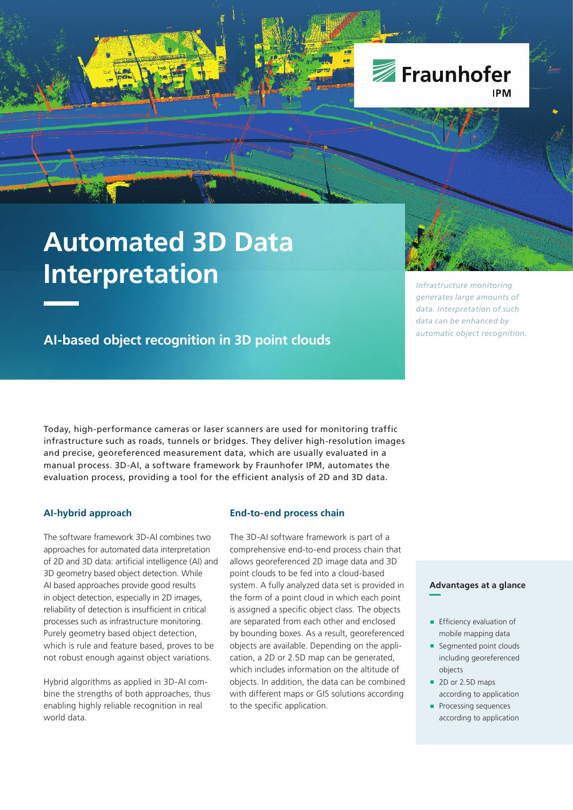

# **Automated 3D Data Interpretation**

**AI-based object recognition in 3D point clouds**

Today, high-performance cameras or laser scanners are used for monitoring traffic infrastructure such as roads, tunnels or bridges. They deliver high-resolution images and precise, georeferenced measurement data, which are usually evaluated in a manual process. 3D-AI, a software framework by Fraunhofer IPM, automates the evaluation process, providing a tool for the efficient analysis of 2D and 3D data.

## **AI-hybrid approach**

The software framework 3D-AI combines two approaches for automated data interpretation of 2D and 3D data: artificial intelligence (AI) and 3D geometry based object detection. While AI based approaches provide good results in object detection, especially in 2D images, reliability of detection is insufficient in critical processes such as infrastructure monitoring. Purely geometry based object detection, which is rule and feature based, proves to be not robust enough against object variations.

Hybrid algorithms as applied in 3D-AI combine the strengths of both approaches, thus enabling highly reliable recognition in real world data.

#### **End-to-end process chain**

The 3D-AI software framework is part of a comprehensive end-to-end process chain that allows georeferenced 2D image data and 3D point clouds to be fed into a cloud-based system. A fully analyzed data set is provided in the form of a point cloud in which each point is assigned a specific object class. The objects are separated from each other and enclosed by bounding boxes. As a result, georeferenced objects are available. Depending on the application, a 2D or 2.5D map can be generated, which includes information on the altitude of objects. In addition, the data can be combined with different maps or GIS solutions according to the specific application.

*Infrastructure monitoring generates large amounts of data. Interpretation of such data can be enhanced by automatic object recognition.* 

#### **Advantages at a glance**

- **Efficiency evaluation of** mobile mapping data
- Seamented point clouds including georeferenced objects
- 2D or 2.5D maps according to application
- **Processing sequences** according to application